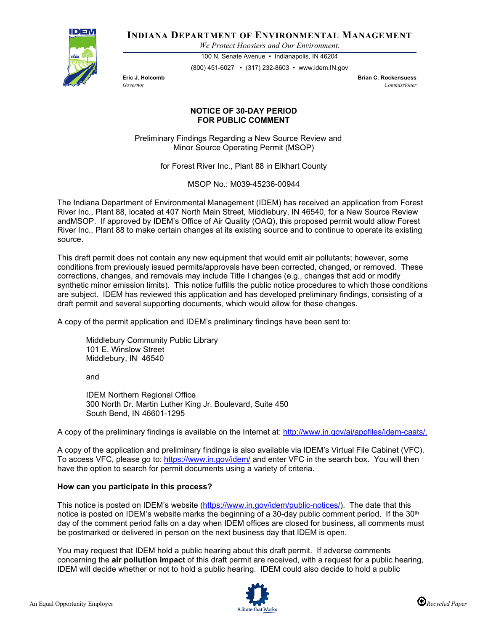

**INDIANA DEPARTMENT OF ENVIRONMENTAL MANAGEMENT**

*We Protect Hoosiers and Our Environment.*

100 N. Senate Avenue • Indianapolis, IN 46204 (800) 451-6027 • (317) 232-8603 • www.idem.IN.gov

**Eric J. Holcomb Brian C. Rockensuess** *Governor Commissioner* 

## **NOTICE OF 30-DAY PERIOD FOR PUBLIC COMMENT**

Preliminary Findings Regarding a New Source Review and Minor Source Operating Permit (MSOP)

for Forest River Inc., Plant 88 in Elkhart County

MSOP No.: M039-45236-00944

The Indiana Department of Environmental Management (IDEM) has received an application from Forest River Inc., Plant 88, located at 407 North Main Street, Middlebury, IN 46540, for a New Source Review andMSOP. If approved by IDEM's Office of Air Quality (OAQ), this proposed permit would allow Forest River Inc., Plant 88 to make certain changes at its existing source and to continue to operate its existing source.

This draft permit does not contain any new equipment that would emit air pollutants; however, some conditions from previously issued permits/approvals have been corrected, changed, or removed. These corrections, changes, and removals may include Title I changes (e.g., changes that add or modify synthetic minor emission limits). This notice fulfills the public notice procedures to which those conditions are subject. IDEM has reviewed this application and has developed preliminary findings, consisting of a draft permit and several supporting documents, which would allow for these changes.

A copy of the permit application and IDEM's preliminary findings have been sent to:

Middlebury Community Public Library 101 E. Winslow Street Middlebury, IN 46540

and

IDEM Northern Regional Office 300 North Dr. Martin Luther King Jr. Boulevard, Suite 450 South Bend, IN 46601-1295

A copy of the preliminary findings is available on the Internet at: [http://www.in.gov/ai/appfiles/idem-caats/.](http://www.in.gov/ai/appfiles/idem-caats/)

A copy of the application and preliminary findings is also available via IDEM's Virtual File Cabinet (VFC). To access VFC, please go to:<https://www.in.gov/idem/> and enter VFC in the search box. You will then have the option to search for permit documents using a variety of criteria.

## **How can you participate in this process?**

This notice is posted on IDEM's website [\(https://www.in.gov/idem/public-notices/\)](https://www.in.gov/idem/public-notices/). The date that this notice is posted on IDEM's website marks the beginning of a 30-day public comment period. If the 30<sup>th</sup> day of the comment period falls on a day when IDEM offices are closed for business, all comments must be postmarked or delivered in person on the next business day that IDEM is open.

You may request that IDEM hold a public hearing about this draft permit. If adverse comments concerning the **air pollution impact** of this draft permit are received, with a request for a public hearing, IDEM will decide whether or not to hold a public hearing. IDEM could also decide to hold a public